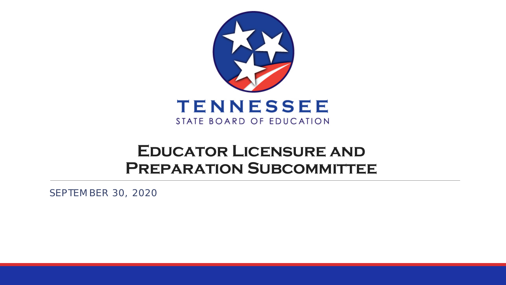

### **Educator Licensure and PREPARATION SUBCOMMITTEE**

SEPTEMBER 30, 2020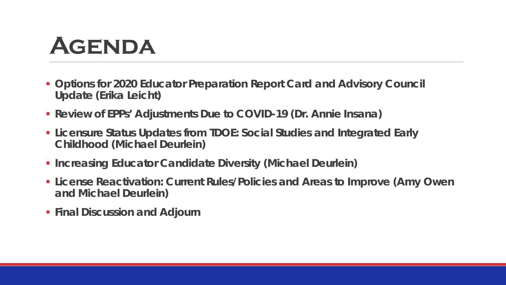## **Agenda**

- **Options for 2020 Educator Preparation Report Card and Advisory Council Update (Erika Leicht)**
- **Review of EPPs' Adjustments Due to COVID-19 (Dr. Annie Insana)**
- **Licensure Status Updates from TDOE: Social Studies and Integrated Early Childhood (Michael Deurlein)**
- **Increasing Educator Candidate Diversity (Michael Deurlein)**
- **License Reactivation: Current Rules/Policies and Areas to Improve (Amy Owen and Michael Deurlein)**
- **Final Discussion and Adjourn**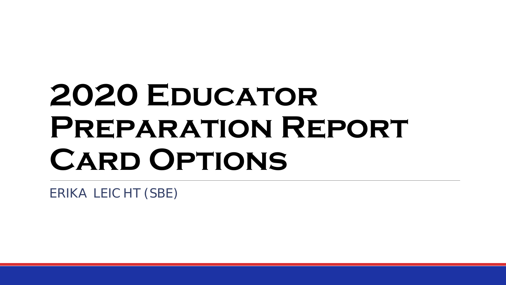# **2020 Educator Preparation Report Card Options**

ERIKA LEICHT (SBE)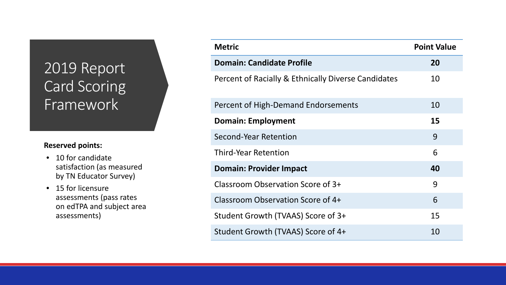### 2019 Report Card Scoring Framework

### **Reserved points:**

- 10 for candidate satisfaction (as measured by TN Educator Survey)
- 15 for licensure assessments (pass rates on edTPA and subject area assessments)

| <b>Metric</b>                                       | <b>Point Value</b> |
|-----------------------------------------------------|--------------------|
| <b>Domain: Candidate Profile</b>                    | 20                 |
| Percent of Racially & Ethnically Diverse Candidates | 10                 |
| Percent of High-Demand Endorsements                 | 10                 |
| <b>Domain: Employment</b>                           | 15                 |
| Second-Year Retention                               | 9                  |
| <b>Third-Year Retention</b>                         | 6                  |
| <b>Domain: Provider Impact</b>                      | 40                 |
| Classroom Observation Score of 3+                   | 9                  |
| Classroom Observation Score of 4+                   | 6                  |
| Student Growth (TVAAS) Score of 3+                  | 15                 |
| Student Growth (TVAAS) Score of 4+                  | 10                 |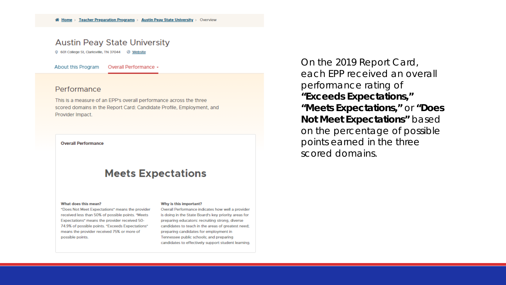### **Austin Peay State University**

0 601 College St, Clarksville, TN 37044 @ Website

About this Program Overall Performance +

#### Performance

This is a measure of an EPP's overall performance across the three scored domains in the Report Card: Candidate Profile, Employment, and Provider Impact.

#### **Overall Performance**

### **Meets Expectations**

#### What does this mean?

"Does Not Meet Expectations" means the provider received less than 50% of possible points. "Meets Expectations" means the provider received 50-74.9% of possible points. "Exceeds Expectations" means the provider received 75% or more of possible points.

#### Why is this important?

Overall Performance indicates how well a provider is doing in the State Board's key priority areas for preparing educators: recruiting strong, diverse candidates to teach in the areas of greatest need: preparing candidates for employment in Tennessee public schools; and preparing candidates to effectively support student learning. On the 2019 Report Card, each EPP received an overall performance rating of **"Exceeds Expectations," "Meets Expectations,"** or **"Does Not Meet Expectations"** based on the percentage of possible points earned in the three scored domains.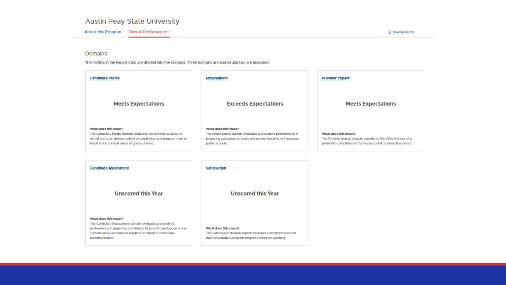### Austin Peay State University

About this Program Overall Performance .

#### Domains

The metrics in the Report Card are divided into five domains. Three domains are scored and two are unscored.

| <b>Candidate Profile</b>                                                                                                                                                                                       | Employment                                                                                                                                                              | <b>Provider Impact</b>                                                                                                                               |
|----------------------------------------------------------------------------------------------------------------------------------------------------------------------------------------------------------------|-------------------------------------------------------------------------------------------------------------------------------------------------------------------------|------------------------------------------------------------------------------------------------------------------------------------------------------|
| <b>Meets Expectations</b>                                                                                                                                                                                      | <b>Exceeds Expectations</b>                                                                                                                                             | <b>Meets Expectations</b>                                                                                                                            |
| What does this mean?<br>The Candidate Profile domain evaluates the provider's ability to<br>recruit a strong, diverse cohort of candidates and prepare them to<br>teach in the content areas of greatest need. | What does this mean?<br>The Employment domain evaluates a provider's performance in<br>preparing educators to begin and remain teaching in Tennessee<br>public schools. | What does this mean?<br>The Provider Impact domain reports on the effectiveness of a<br>provider's completers in Tennessee public school classrooms. |

| <b>Candidate Assessment</b>                                                    | Satisfaction                                                  |
|--------------------------------------------------------------------------------|---------------------------------------------------------------|
| <b>Unscored this Year</b>                                                      | <b>Unscored this Year</b>                                     |
| What does this mean?<br>The Candidate Assessment domain evaluates a provider's |                                                               |
| performance in preparing candidates to pass the pedagogical and                | What does this mean?                                          |
| content-area assessments required to obtain a Tennessee                        | The Satisfaction domain reports how well completers feel that |
| teaching license.                                                              | their preparation program prepared them for teaching.         |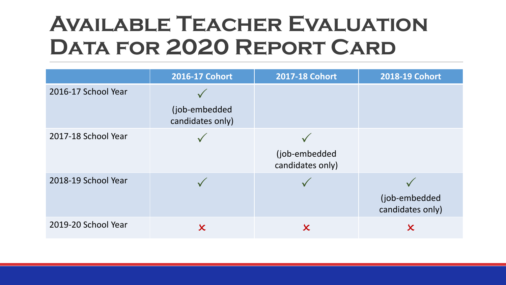## **Available Teacher Evaluation Data for 2020 Report Card**

|                     | 2016-17 Cohort                    | <b>2017-18 Cohort</b>             | 2018-19 Cohort                    |
|---------------------|-----------------------------------|-----------------------------------|-----------------------------------|
| 2016-17 School Year | (job-embedded<br>candidates only) |                                   |                                   |
| 2017-18 School Year |                                   | (job-embedded<br>candidates only) |                                   |
| 2018-19 School Year |                                   |                                   | (job-embedded<br>candidates only) |
| 2019-20 School Year | $\boldsymbol{\mathsf{X}}$         | $\boldsymbol{\mathsf{X}}$         | $\boldsymbol{\mathsf{X}}$         |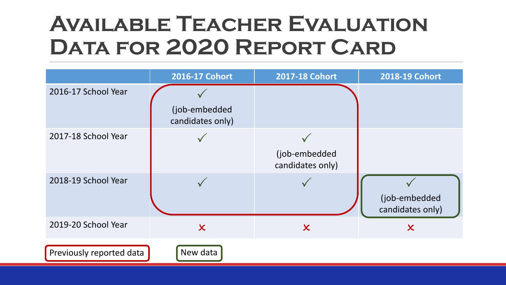## **Available Teacher Evaluation Data for 2020 Report Card**

|                          | 2016-17 Cohort                    | <b>2017-18 Cohort</b>             | 2018-19 Cohort                    |
|--------------------------|-----------------------------------|-----------------------------------|-----------------------------------|
| 2016-17 School Year      | (job-embedded<br>candidates only) |                                   |                                   |
| 2017-18 School Year      |                                   | (job-embedded<br>candidates only) |                                   |
| 2018-19 School Year      |                                   |                                   | (job-embedded<br>candidates only) |
| 2019-20 School Year      | $\boldsymbol{\chi}$               | $\boldsymbol{\mathsf{x}}$         | $\boldsymbol{\chi}$               |
| Previously reported data | New data                          |                                   |                                   |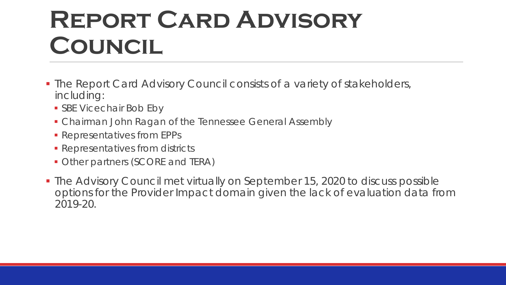## **Report Card Advisory Council**

- **The Report Card Advisory Council consists of a variety of stakeholders,** including:
	- **SBE Vicechair Bob Eby**
	- **Chairman John Ragan of the Tennessee General Assembly**
	- **Representatives from EPPs**
	- **Representatives from districts**
	- **Other partners (SCORE and TERA)**
- The Advisory Council met virtually on September 15, 2020 to discuss possible options for the Provider Impact domain given the lack of evaluation data from 2019-20.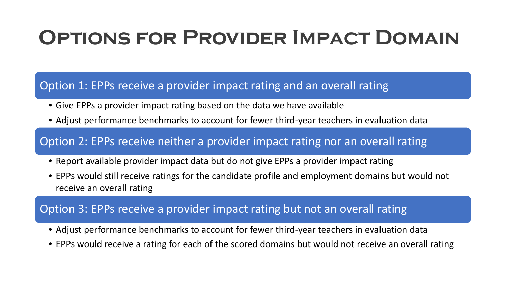### **Options for Provider Impact Domain**

### Option 1: EPPs receive a provider impact rating and an overall rating

- Give EPPs a provider impact rating based on the data we have available
- Adjust performance benchmarks to account for fewer third-year teachers in evaluation data

### Option 2: EPPs receive neither a provider impact rating nor an overall rating

- Report available provider impact data but do not give EPPs a provider impact rating
- EPPs would still receive ratings for the candidate profile and employment domains but would not receive an overall rating

### Option 3: EPPs receive a provider impact rating but not an overall rating

- Adjust performance benchmarks to account for fewer third-year teachers in evaluation data
- EPPs would receive a rating for each of the scored domains but would not receive an overall rating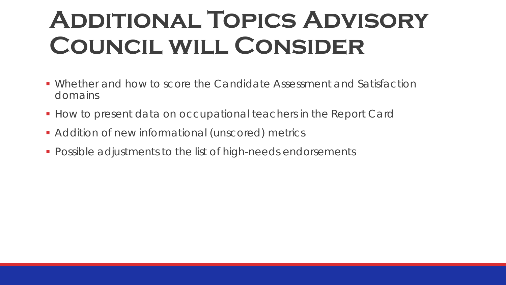## **Additional Topics Advisory Council will Consider**

- Whether and how to score the Candidate Assessment and Satisfaction domains
- **How to present data on occupational teachers in the Report Card**
- **Addition of new informational (unscored) metrics**
- **Possible adjustments to the list of high-needs endorsements**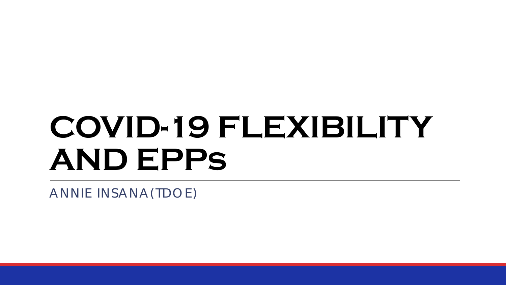# **COVID-19 FLEXIBILITY AND EPPs**

ANNIE INSANA(TDOE)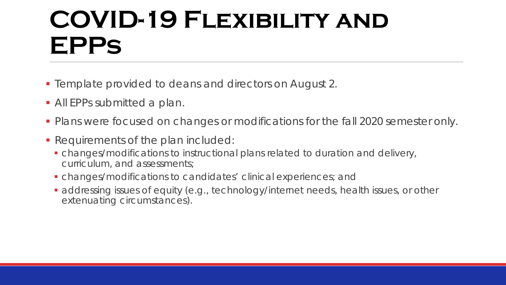## **COVID-19 Flexibility and EPPs**

- **Template provided to deans and directors on August 2.**
- **All EPPs submitted a plan.**
- **Plans were focused on changes or modifications for the fall 2020 semester only.**
- Requirements of the plan included:
	- changes/modifications to instructional plans related to duration and delivery, curriculum, and assessments;
	- changes/modifications to candidates' clinical experiences; and
	- addressing issues of equity (e.g., technology/internet needs, health issues, or other extenuating circumstances).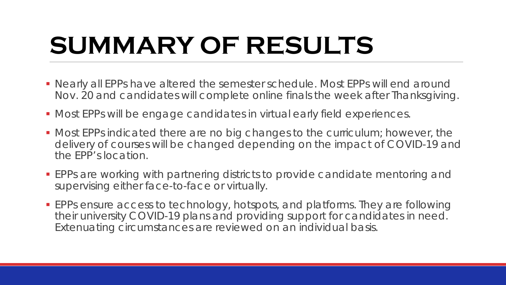## **SUMMARY OF RESULTS**

- Nearly all EPPs have altered the semester schedule. Most EPPs will end around Nov. 20 and candidates will complete online finals the week after Thanksgiving.
- Most EPPs will be engage candidates in virtual early field experiences.
- Most EPPs indicated there are no big changes to the curriculum; however, the delivery of courses will be changed depending on the impact of COVID-19 and the EPP's location.
- EPPs are working with partnering districts to provide candidate mentoring and supervising either face-to-face or virtually.
- EPPs ensure access to technology, hotspots, and platforms. They are following their university COVID-19 plans and providing support for candidates in need. Extenuating circumstances are reviewed on an individual basis.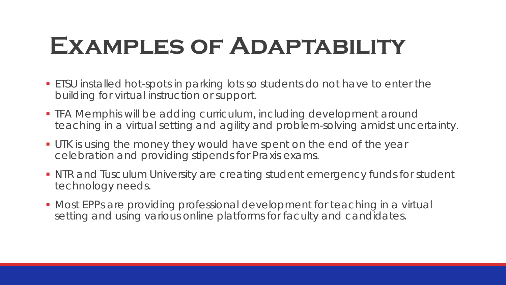## **Examples of Adaptability**

- ETSU installed hot-spots in parking lots so students do not have to enter the building for virtual instruction or support.
- **THA Memphis will be adding curriculum, including development around** teaching in a virtual setting and agility and problem-solving amidst uncertainty.
- UTK is using the money they would have spent on the end of the year celebration and providing stipends for Praxis exams.
- NTR and Tusculum University are creating student emergency funds for student technology needs.
- **Most EPPs are providing professional development for teaching in a virtual** setting and using various online platforms for faculty and candidates.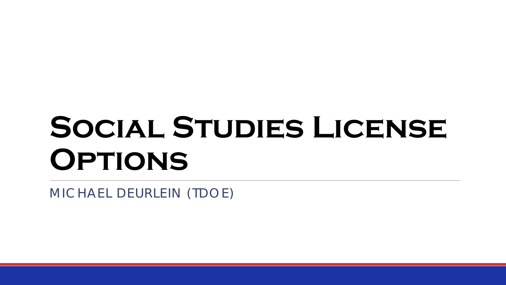# **Social Studies License Options**

MICHAEL DEURLEIN (TDOE)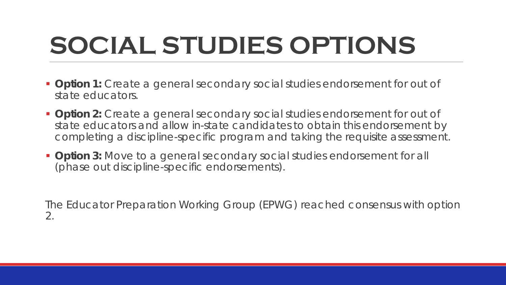## **SOCIAL STUDIES OPTIONS**

- **Option 1:** Create a general secondary social studies endorsement for out of state educators.
- **Option 2:** Create a general secondary social studies endorsement for out of state educators and allow in-state candidates to obtain this endorsement by completing a discipline-specific program and taking the requisite assessment.
- **Option 3:** Move to a general secondary social studies endorsement for all (phase out discipline-specific endorsements).

The Educator Preparation Working Group (EPWG) reached consensus with option 2.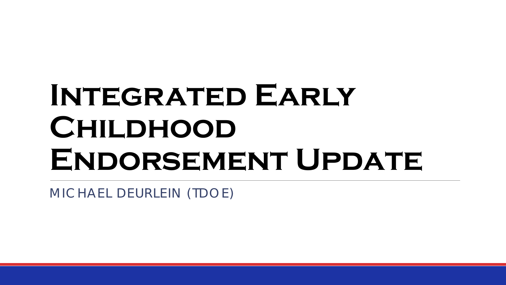## **Integrated Early CHILDHOOD** ENDORSEMENT UPDATE

MICHAEL DEURLEIN (TDOE)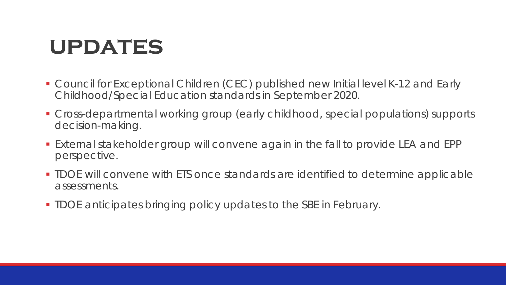### **updates**

- Council for Exceptional Children (CEC) published new Initial level K-12 and Early Childhood/Special Education standards in September 2020.
- Cross-departmental working group (early childhood, special populations) supports decision-making.
- External stakeholder group will convene again in the fall to provide LEA and EPP perspective.
- **TIDOE will convene with ETS once standards are identified to determine applicable** assessments.
- TDOE anticipates bringing policy updates to the SBE in February.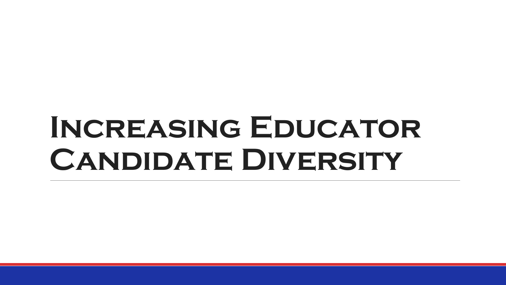## **Increasing Educator Candidate Diversity**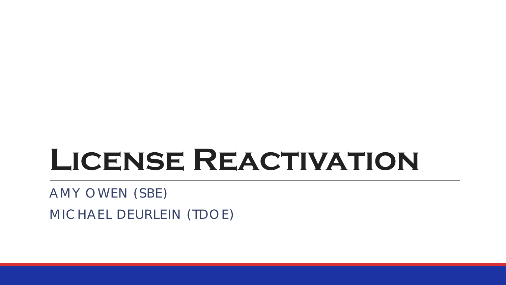## **License Reactivation**

AMY OWEN (SBE)

MICHAEL DEURLEIN (TDOE)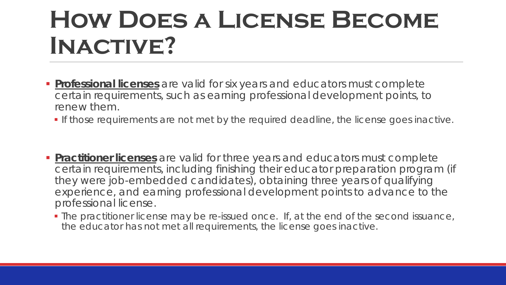## **How Does a License Become Inactive?**

- **Professional licenses** are valid for six years and educators must complete certain requirements, such as earning professional development points, to renew them.
	- If those requirements are not met by the required deadline, the license goes inactive.
- **Practitioner licenses** are valid for three years and educators must complete certain requirements, including finishing their educator preparation program (if they were job-embedded candidates), obtaining three years of qualifying experience, and earning professional development points to advance to the professional license.
	- The practitioner license may be re-issued once. If, at the end of the second issuance, the educator has not met all requirements, the license goes inactive.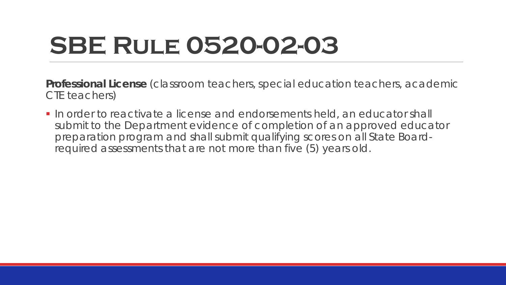## **SBE Rule 0520-02-03**

**Professional License** (classroom teachers, special education teachers, academic CTE teachers)

In order to reactivate a license and endorsements held, an educator shall submit to the Department evidence of completion of an approved educator preparation program and shall submit qualifying scores on all State Boardrequired assessments that are not more than five (5) years old.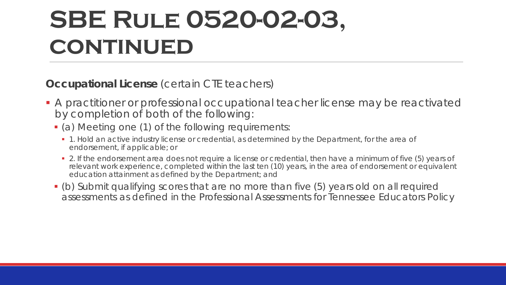## **SBE Rule 0520-02-03, CONTINUED**

**Occupational License** (certain CTE teachers)

- A practitioner or professional occupational teacher license may be reactivated by completion of both of the following:
	- (a) Meeting one (1) of the following requirements:
		- **1**. Hold an active industry license or credential, as determined by the Department, for the area of endorsement, if applicable; or
		- 2. If the endorsement area does not require a license or credential, then have a minimum of five (5) years of relevant work experience, completed within the last ten (10) years, in the area of endorsement or equivalent education attainment as defined by the Department; and
	- (b) Submit qualifying scores that are no more than five (5) years old on all required assessments as defined in the Professional Assessments for Tennessee Educators Policy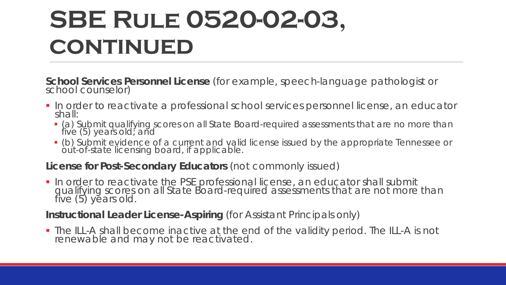## **SBE Rule 0520-02-03, CONTINUED**

**School Services Personnel License** (for example, speech-language pathologist or school counselor)

- In order to reactivate a professional school services personnel license, an educator shall:
	- (a) Submit qualifying scores on all State Board-required assessments that are no more than five (5) years old; and
	- (b) Submit evidence of a current and valid license issued by the appropriate Tennessee or òút-of-state licensing board, if applicable.

### **License for Post-Secondary Educators** (not commonly issued)

**In order to reactivate the PSE professional license, an educator shall submit** qualifying scores on all State Board-required assessments that are not more than<br>five (5) years old.

### **Instructional Leader License-Aspiring** (for Assistant Principals only)

 The ILL-A shall become inactive at the end of the validity period. The ILL-A is not renewable and may not be reactivated.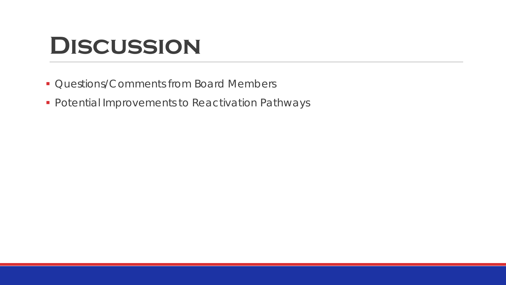## **Discussion**

- **Questions/Comments from Board Members**
- **Potential Improvements to Reactivation Pathways**